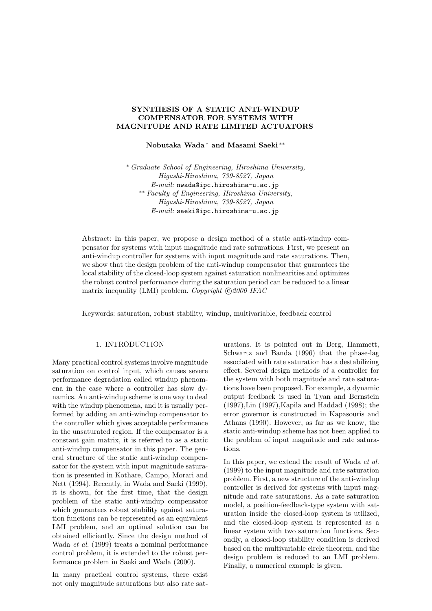# **SYNTHESIS OF A STATIC ANTI-WINDUP COMPENSATOR FOR SYSTEMS WITH MAGNITUDE AND RATE LIMITED ACTUATORS**

**Nobutaka Wada** <sup>∗</sup> **and Masami Saeki** ∗∗

∗ *Graduate School of Engineering, Hiroshima University, Higashi-Hiroshima, 739-8527, Japan E-mail:* nwada@ipc.hiroshima-u.ac.jp ∗∗ *Faculty of Engineering, Hiroshima University, Higashi-Hiroshima, 739-8527, Japan E-mail:* saeki@ipc.hiroshima-u.ac.jp

Abstract: In this paper, we propose a design method of a static anti-windup compensator for systems with input magnitude and rate saturations. First, we present an anti-windup controller for systems with input magnitude and rate saturations. Then, we show that the design problem of the anti-windup compensator that guarantees the local stability of the closed-loop system against saturation nonlinearities and optimizes the robust control performance during the saturation period can be reduced to a linear matrix inequality (LMI) problem. *Copyright*  $\bigcirc$  2000 IFAC

Keywords: saturation, robust stability, windup, multivariable, feedback control

## 1. INTRODUCTION

Many practical control systems involve magnitude saturation on control input, which causes severe performance degradation called windup phenomena in the case where a controller has slow dynamics. An anti-windup scheme is one way to deal with the windup phenomena, and it is usually performed by adding an anti-windup compensator to the controller which gives acceptable performance in the unsaturated region. If the compensator is a constant gain matrix, it is referred to as a static anti-windup compensator in this paper. The general structure of the static anti-windup compensator for the system with input magnitude saturation is presented in Kothare, Campo, Morari and Nett (1994). Recently, in Wada and Saeki (1999), it is shown, for the first time, that the design problem of the static anti-windup compensator which guarantees robust stability against saturation functions can be represented as an equivalent LMI problem, and an optimal solution can be obtained efficiently. Since the design method of Wada *et al.* (1999) treats a nominal performance control problem, it is extended to the robust performance problem in Saeki and Wada (2000).

In many practical control systems, there exist not only magnitude saturations but also rate saturations. It is pointed out in Berg, Hammett, Schwartz and Banda (1996) that the phase-lag associated with rate saturation has a destabilizing effect. Several design methods of a controller for the system with both magnitude and rate saturations have been proposed. For example, a dynamic output feedback is used in Tyan and Bernstein (1997),Lin (1997),Kapila and Haddad (1998); the error governor is constructed in Kapasouris and Athans (1990). However, as far as we know, the static anti-windup scheme has not been applied to the problem of input magnitude and rate saturations.

In this paper, we extend the result of Wada *et al.* (1999) to the input magnitude and rate saturation problem. First, a new structure of the anti-windup controller is derived for systems with input magnitude and rate saturations. As a rate saturation model, a position-feedback-type system with saturation inside the closed-loop system is utilized, and the closed-loop system is represented as a linear system with two saturation functions. Secondly, a closed-loop stability condition is derived based on the multivariable circle theorem, and the design problem is reduced to an LMI problem. Finally, a numerical example is given.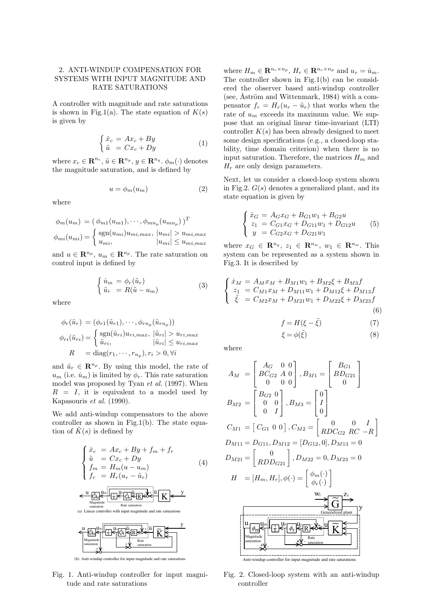# 2. ANTI-WINDUP COMPENSATION FOR SYSTEMS WITH INPUT MAGNITUDE AND RATE SATURATIONS

A controller with magnitude and rate saturations is shown in Fig.1(a). The state equation of  $K(s)$ is given by

$$
\begin{cases} \dot{x}_c = Ax_c + By\\ \tilde{u} = Cx_c + Dy \end{cases} \tag{1}
$$

where  $x_c \in \mathbb{R}^{n_c}$ ,  $\tilde{u} \in \mathbb{R}^{n_p}$ ,  $y \in \mathbb{R}^{n_q}$ .  $\phi_m(\cdot)$  denotes the magnitude saturation, and is defined by

$$
u = \phi_m(u_m) \tag{2}
$$

where

$$
\phi_m(u_m) = (\phi_{m1}(u_{m1}), \cdots, \phi_{mn_p}(u_{mn_p}))^T
$$

$$
\phi_{mi}(u_{mi}) = \begin{cases} \text{sgn}(u_{mi})u_{mi,max}, |u_{mi}| > u_{mi,max} \\ u_{mi}, |u_{mi}| \le u_{mi,max} \end{cases}
$$

and  $u \in \mathbb{R}^{n_p}$ ,  $u_m \in \mathbb{R}^{n_p}$ . The rate saturation on control input is defined by

$$
\begin{cases}\n\dot{u}_m = \phi_r(\tilde{u}_r) \\
\tilde{u}_r = R(\tilde{u} - u_m)\n\end{cases} \tag{3}
$$

where

$$
\phi_r(\tilde{u}_r) = (\phi_{r1}(\tilde{u}_{r1}), \cdots, \phi_{rn_p}(\tilde{u}_{rn_p}))
$$
  

$$
\phi_{ri}(\tilde{u}_{ri}) = \begin{cases} \text{sgn}(\tilde{u}_{ri})u_{ri,max}, |\tilde{u}_{ri}| > u_{ri,max} \\ \tilde{u}_{ri}, & |\tilde{u}_{ri}| \le u_{ri,max} \end{cases}
$$
  

$$
R = \text{diag}(r_1, \cdots, r_{n_p}), r_i > 0, \forall i
$$

and  $\tilde{u}_r \in \mathbb{R}^{n_p}$ . By using this model, the rate of  $u_m$  (i.e.  $\dot{u}_m$ ) is limited by  $\phi_r$ . This rate saturation model was proposed by Tyan *et al.* (1997). When  $R = I$ , it is equivalent to a model used by Kapasouris *et al.* (1990).

We add anti-windup compensators to the above controller as shown in Fig.1(b). The state equation of  $\tilde{K}(s)$  is defined by

$$
\begin{cases}\n\dot{x}_c = Ax_c + By + f_m + f_r \\
\tilde{u} = Cx_c + Dy \\
f_m = H_m(u - u_m) \\
f_r = H_r(u_r - \tilde{u}_r)\n\end{cases} \tag{4}
$$







Fig. 1. Anti-windup controller for input magnitude and rate saturations

where  $H_m \in \mathbb{R}^{n_c \times n_p}$ ,  $H_r \in \mathbb{R}^{n_c \times n_p}$  and  $u_r = \dot{u}_m$ . The controller shown in Fig.1(b) can be considered the observer based anti-windup controller (see,  $\hat{A}$ ström and Wittenmark, 1984) with a compensator  $f_r = H_r(u_r - \tilde{u}_r)$  that works when the rate of  $u_m$  exceeds its maximum value. We suppose that an original linear time-invariant (LTI) controller  $K(s)$  has been already designed to meet some design specifications (e.g., a closed-loop stability, time domain criterion) when there is no input saturation. Therefore, the matrices  $H_m$  and  $H_r$  are only design parameters.

Next, let us consider a closed-loop system shown in Fig.2.  $G(s)$  denotes a generalized plant, and its state equation is given by

$$
\begin{cases}\n\dot{x}_G = A_G x_G + B_{G1} w_1 + B_{G2} u \\
z_1 = C_{G1} x_G + D_{G11} w_1 + D_{G12} u \\
y = C_{G2} x_G + D_{G21} w_1\n\end{cases} (5)
$$

where  $x_G \in \mathbb{R}^{n_g}$ ,  $z_1 \in \mathbb{R}^{n_w}$ ,  $w_1 \in \mathbb{R}^{n_w}$ . This system can be represented as a system shown in Fig.3. It is described by

$$
\begin{cases}\n\dot{x}_M = A_M x_M + B_{M1} w_1 + B_{M2} \xi + B_{M3} f \\
z_1 = C_{M1} x_M + D_{M11} w_1 + D_{M12} \xi + D_{M13} f \\
\tilde{\xi} = C_{M2} x_M + D_{M21} w_1 + D_{M22} \xi + D_{M23} f \\
(6)\n\end{cases}
$$

$$
f = H(\xi - \tilde{\xi})\tag{7}
$$

$$
\xi = \phi(\tilde{\xi})\tag{8}
$$

where

$$
A_{M} = \begin{bmatrix} A_{G} & 0 & 0 \\ B C_{G2} & A & 0 \\ 0 & 0 & 0 \end{bmatrix}, B_{M1} = \begin{bmatrix} B_{G1} \\ B D_{G21} \\ 0 \end{bmatrix}
$$
  
\n
$$
B_{M2} = \begin{bmatrix} B_{G2} & 0 \\ 0 & 0 \\ 0 & I \end{bmatrix}, B_{M3} = \begin{bmatrix} 0 \\ I \\ 0 \end{bmatrix}
$$
  
\n
$$
C_{M1} = \begin{bmatrix} C_{G1} & 0 & 0 \end{bmatrix}, C_{M2} = \begin{bmatrix} 0 & 0 & I \\ R D C_{G2} & R C - R \end{bmatrix}
$$
  
\n
$$
D_{M11} = D_{G11}, D_{M12} = [D_{G12}, 0], D_{M13} = 0
$$
  
\n
$$
D_{M21} = \begin{bmatrix} 0 \\ R D D_{G21} \end{bmatrix}, D_{M22} = 0, D_{M23} = 0
$$
  
\n
$$
H = [H_m, H_r], \phi(\cdot) = \begin{bmatrix} \phi_m(\cdot) \\ \phi_r(\cdot) \end{bmatrix}
$$
  
\n
$$
\underbrace{\begin{array}{c}\text{W1} \\ \text{Magnitude} \end{array}}_{\text{Gammaized plant}} \times \underbrace{\begin{array}{c}\text{S} \\ \text{S} \end{array}}_{\text{Rate}} \times \underbrace{\begin{array}{c}\text{S} \\ \text{S} \end{array}}_{\text{Ratteration}}
$$
  
\n
$$
\underbrace{\begin{array}{c}\text{W1} \\ \text{Magnitude} \end{array}}_{\text{Mearitude}} \times \underbrace{\begin{array}{c}\text{V1} \\ \text{S} \end{array}}_{\text{Rate}} \times \underbrace{\begin{array}{c}\text{V1} \\ \text{S} \end{array}}_{\text{Mearation}}
$$

Fig. 2. Closed-loop system with an anti-windup controller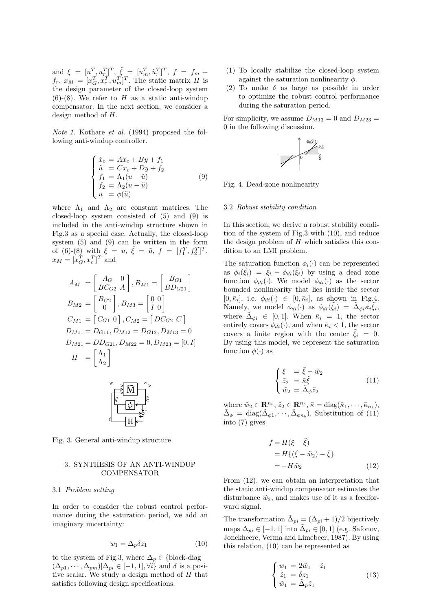and  $\xi = [u^T, u^T_r]^T$ ,  $\tilde{\xi} = [u^T_m, \tilde{u}^T_r]^T$ ,  $f = f_m +$  $f_r, x_M = [x_G^T, x_c^T, u_m^T]^T$ . The static matrix H is the design parameter of the closed-loop system  $(6)-(8)$ . We refer to H as a static anti-windup compensator. In the next section, we consider a design method of H.

*Note 1.* Kothare *et al.* (1994) proposed the following anti-windup controller.

$$
\begin{cases}\n\dot{x}_c = Ax_c + By + f_1 \\
\tilde{u} = Cx_c + Dy + f_2 \\
f_1 = \Lambda_1(u - \tilde{u}) \\
f_2 = \Lambda_2(u - \tilde{u}) \\
u = \phi(\tilde{u})\n\end{cases}
$$
\n(9)

where  $\Lambda_1$  and  $\Lambda_2$  are constant matrices. The closed-loop system consisted of (5) and (9) is included in the anti-windup structure shown in Fig.3 as a special case. Actually, the closed-loop system (5) and (9) can be written in the form of (6)-(8) with  $\xi = u, \xi = \tilde{u}, f = [f_1^T, f_2^T]^T$ ,  $x_M = [x_G^T, x_c^T]^T$  and

$$
A_{M} = \begin{bmatrix} A_{G} & 0 \\ BC_{G2} & A \end{bmatrix}, B_{M1} = \begin{bmatrix} B_{G1} \\ BD_{G21} \end{bmatrix}
$$
  
\n
$$
B_{M2} = \begin{bmatrix} B_{G2} \\ 0 \end{bmatrix}, B_{M3} = \begin{bmatrix} 0 & 0 \\ I & 0 \end{bmatrix}
$$
  
\n
$$
C_{M1} = \begin{bmatrix} C_{G1} & 0 \end{bmatrix}, C_{M2} = \begin{bmatrix} DC_{G2} & C \end{bmatrix}
$$
  
\n
$$
D_{M11} = D_{G11}, D_{M12} = D_{G12}, D_{M13} = 0
$$
  
\n
$$
D_{M21} = DD_{G21}, D_{M22} = 0, D_{M23} = \begin{bmatrix} 0, I \end{bmatrix}
$$
  
\n
$$
H = \begin{bmatrix} \Lambda_{1} \\ \Lambda_{2} \end{bmatrix}
$$



Fig. 3. General anti-windup structure

# 3. SYNTHESIS OF AN ANTI-WINDUP **COMPENSATOR**

### 3.1 *Problem setting*

In order to consider the robust control performance during the saturation period, we add an imaginary uncertainty:

$$
w_1 = \Delta_p \delta z_1 \tag{10}
$$

to the system of Fig.3, where  $\Delta_p \in \{\text{block-diag}\}\$  $(\Delta_{p1}, \cdots, \Delta_{pm})|\Delta_{pi} \in [-1, 1], \forall i$  and  $\delta$  is a positive scalar. We study a design method of H that satisfies following design specifications.

- (1) To locally stabilize the closed-loop system against the saturation nonlinearity  $\phi$ .
- (2) To make  $\delta$  as large as possible in order to optimize the robust control performance during the saturation period.

For simplicity, we assume  $D_{M13} = 0$  and  $D_{M23} =$ 0 in the following discussion.



Fig. 4. Dead-zone nonlinearity

#### 3.2 *Robust stability condition*

In this section, we derive a robust stability condition of the system of Fig.3 with (10), and reduce the design problem of  $H$  which satisfies this condition to an LMI problem.

The saturation function  $\phi_i(\cdot)$  can be represented as  $\phi_i(\xi_i) = \xi_i - \phi_{di}(\xi_i)$  by using a dead zone function  $\phi_{di}(\cdot)$ . We model  $\phi_{di}(\cdot)$  as the sector bounded nonlinearity that lies inside the sector  $[0, \bar{\kappa}_i],$  i.e.  $\phi_{di}(\cdot) \in [0, \bar{\kappa}_i],$  as shown in Fig.4. Namely, we model  $\phi_{di}(\cdot)$  as  $\phi_{di}(\xi_i) = \Delta_{\phi i} \bar{\kappa}_i \xi_i$ , where  $\tilde{\Delta}_{\phi i} \in [0,1]$ . When  $\bar{\kappa}_i = 1$ , the sector entirely covers  $\phi_{di}(\cdot)$ , and when  $\bar{\kappa}_i < 1$ , the sector covers a finite region with the center  $\tilde{\xi}_i = 0$ . By using this model, we represent the saturation function  $\phi(\cdot)$  as

$$
\begin{cases} \xi = \tilde{\xi} - \tilde{w}_2\\ \tilde{z}_2 = \bar{\kappa}\tilde{\xi} \\ \tilde{w}_2 = \tilde{\Delta}_{\phi}\tilde{z}_2 \end{cases}
$$
 (11)

where  $\tilde{w}_2 \in \mathbb{R}^{n_b}$ ,  $\tilde{z}_2 \in \mathbb{R}^{n_b}$ ,  $\bar{\kappa} = \text{diag}(\bar{\kappa}_1, \dots, \bar{\kappa}_{n_b})$ ,  $\tilde{\kappa}$  $\tilde{\Delta}_{\phi} = \text{diag}(\tilde{\Delta}_{\phi 1}, \cdots, \tilde{\Delta}_{\phi n_b})$ . Substitution of (11) into (7) gives

$$
f = H(\xi - \tilde{\xi})
$$
  
=  $H\{(\tilde{\xi} - \tilde{w}_2) - \tilde{\xi}\}$   
=  $-H\tilde{w}_2$  (12)

From (12), we can obtain an interpretation that the static anti-windup compensator estimates the disturbance  $\tilde{w}_2$ , and makes use of it as a feedforward signal.

The transformation  $\tilde{\Delta}_{pi} = (\Delta_{pi} + 1)/2$  bijectively maps  $\Delta_{ni} \in [-1, 1]$  into  $\tilde{\Delta}_{ni} \in [0, 1]$  (e.g. Safonov, Jonckheere, Verma and Limebeer, 1987). By using this relation, (10) can be represented as

$$
\begin{cases}\nw_1 = 2\tilde{w}_1 - \tilde{z}_1\\ \n\tilde{z}_1 = \delta z_1\\ \n\tilde{w}_1 = \tilde{\Delta}_p \tilde{z}_1\n\end{cases}
$$
\n(13)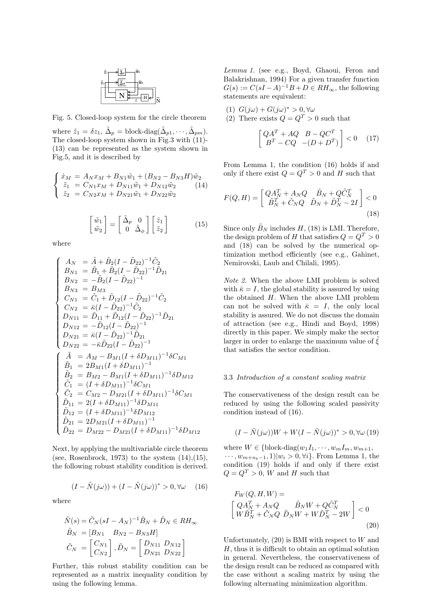

Fig. 5. Closed-loop system for the circle theorem

where  $\tilde{z}_1 = \delta z_1$ ,  $\tilde{\Delta}_p = \text{block-diag}(\tilde{\Delta}_{p1}, \cdots, \tilde{\Delta}_{pm}).$ The closed-loop system shown in Fig.3 with (11)- (13) can be represented as the system shown in Fig.5, and it is described by

$$
\begin{cases}\n\dot{x}_M = A_N x_M + B_{N1}\tilde{w}_1 + (B_{N2} - B_{N3}H)\tilde{w}_2 \\
\tilde{z}_1 = C_{N1}x_M + D_{N11}\tilde{w}_1 + D_{N12}\tilde{w}_2 \\
\tilde{z}_2 = C_{N2}x_M + D_{N21}\tilde{w}_1 + D_{N22}\tilde{w}_2\n\end{cases}
$$
(14)

$$
\begin{bmatrix} \tilde{w}_1 \\ \tilde{w}_2 \end{bmatrix} = \begin{bmatrix} \tilde{\Delta}_p & 0 \\ 0 & \tilde{\Delta}_\phi \end{bmatrix} \begin{bmatrix} \tilde{z}_1 \\ \tilde{z}_2 \end{bmatrix}
$$
 (15)

where

k

$$
\begin{cases}\nA_N = \tilde{A} + \tilde{B}_2 (I - \tilde{D}_{22})^{-1} \tilde{C}_2 \\
B_{N1} = \tilde{B}_1 + \tilde{B}_2 (I - \tilde{D}_{22})^{-1} \tilde{D}_{21} \\
B_{N2} = -\tilde{B}_2 (I - \tilde{D}_{22})^{-1} \\
B_{N3} = B_{M3} \\
C_{N1} = \tilde{C}_1 + \tilde{D}_{12} (I - \tilde{D}_{22})^{-1} \tilde{C}_2 \\
C_{N2} = \bar{\kappa} (I - \tilde{D}_{22})^{-1} \tilde{C}_2 \\
D_{N11} = \tilde{D}_{11} + \tilde{D}_{12} (I - \tilde{D}_{22})^{-1} \tilde{D}_{21} \\
D_{N12} = -\tilde{D}_{12} (I - \tilde{D}_{22})^{-1} \\
D_{N21} = \bar{\kappa} (I - \tilde{D}_{22})^{-1} \\
D_{N22} = -\bar{\kappa} \tilde{D}_{22} (I - \tilde{D}_{22})^{-1} \\
\begin{cases}\n\tilde{A} = A_M - B_{M1} (I + \delta D_{M11})^{-1} \delta C_{M1} \\
\tilde{B}_1 = 2B_{M1} (I + \delta D_{M11})^{-1} \delta D_{M12} \\
\tilde{C}_1 = (I + \delta D_{M11})^{-1} \delta C_{M1} \\
\tilde{C}_2 = C_{M2} - D_{M21} (I + \delta D_{M11})^{-1} \delta C_{M1} \\
\tilde{D}_{12} = (I + \delta D_{M11})^{-1} \delta D_{M12} \\
\tilde{D}_{21} = 2D_{M21} (I + \delta D_{M11})^{-1} \delta D_{M12} \\
\tilde{D}_{22} = D_{M22} - D_{M21} (I + \delta D_{M11})^{-1} \delta D_{M12} \\
\tilde{D}_{22} = D_{M22} - D_{M21} (I + \delta D_{M11})^{-1} \delta D_{M12}\n\end{cases}
$$

Next, by applying the multivariable circle theorem (see, Rosenbrock, 1973) to the system  $(14)$ , $(15)$ , the following robust stability condition is derived.

$$
(I - \tilde{N}(j\omega)) + (I - \tilde{N}(j\omega))^* > 0, \forall \omega \quad (16)
$$

where

$$
\tilde{N}(s) = \tilde{C}_N (sI - A_N)^{-1} \tilde{B}_N + \tilde{D}_N \in RH_\infty
$$
  
\n
$$
\tilde{B}_N = [B_{N1} \quad B_{N2} - B_{N3}H]
$$
  
\n
$$
\tilde{C}_N = \begin{bmatrix} C_{N1} \\ C_{N2} \end{bmatrix}, \tilde{D}_N = \begin{bmatrix} D_{N11} & D_{N12} \\ D_{N21} & D_{N22} \end{bmatrix}
$$

Further, this robust stability condition can be represented as a matrix inequality condition by using the following lemma.

*Lemma 1.* (see e.g., Boyd, Ghaoui, Feron and Balakrishnan, 1994) For a given transfer function  $G(s) := C(sI - A)^{-1}B + D \in RH_{\infty}$ , the following statements are equivalent:

- (1)  $G(j\omega) + G(j\omega)^* > 0, \forall \omega$
- (2) There exists  $Q = Q^T > 0$  such that

$$
\begin{bmatrix} QA^T + AQ & B - QC^T \\ B^T - CQ & -(D + D^T) \end{bmatrix} < 0 \quad (17)
$$

From Lemma 1, the condition (16) holds if and only if there exist  $Q = Q^T > 0$  and H such that

$$
F(Q,H) = \begin{bmatrix} QA_N^T + A_NQ & \tilde{B}_N + Q\tilde{C}_N^T\\ \tilde{B}_N^T + \tilde{C}_NQ & \tilde{D}_N + \tilde{D}_N^T - 2I \end{bmatrix} < 0
$$
\n
$$
\tag{18}
$$

Since only  $\tilde{B}_N$  includes H, (18) is LMI. Therefore, the design problem of H that satisfies  $Q = Q^T > 0$ and (18) can be solved by the numerical optimization method efficiently (see e.g., Gahinet, Nemirovski, Laub and Chilali, 1995).

*Note 2.* When the above LMI problem is solved with  $\bar{\kappa} = I$ , the global stability is assured by using the obtained  $H$ . When the above LMI problem can not be solved with  $\bar{\kappa} = I$ , the only local stability is assured. We do not discuss the domain of attraction (see e.g., Hindi and Boyd, 1998) directly in this paper. We simply make the sector larger in order to enlarge the maximum value of  $\xi$ that satisfies the sector condition.

### 3.3 *Introduction of a constant scaling matrix*

The conservativeness of the design result can be reduced by using the following scaled passivity condition instead of (16).

$$
(I - \tilde{N}(j\omega))W + W(I - \tilde{N}(j\omega))^{*} > 0, \forall \omega (19)
$$

where  $W \in \{\text{block-diag}(w_1I_1, \cdots, w_mI_m, w_{m+1},\})$  $\cdots$ ,  $w_{m+n_b-1}$ , 1)| $w_i > 0$ ,  $\forall i$ }. From Lemma 1, the condition (19) holds if and only if there exist  $Q = Q^T > 0$ , W and H such that

$$
F_W(Q, H, W) =
$$
  
\n
$$
\begin{bmatrix} QA_N^T + A_NQ & \tilde{B}_N W + Q\tilde{C}_N^T \\ W\tilde{B}_N^T + \tilde{C}_NQ & \tilde{D}_N W + W\tilde{D}_N^T - 2W \end{bmatrix} < 0
$$
\n
$$
\tag{20}
$$

Unfortunately,  $(20)$  is BMI with respect to W and H, thus it is difficult to obtain an optimal solution in general. Nevertheless, the conservativeness of the design result can be reduced as compared with the case without a scaling matrix by using the following alternating minimization algorithm.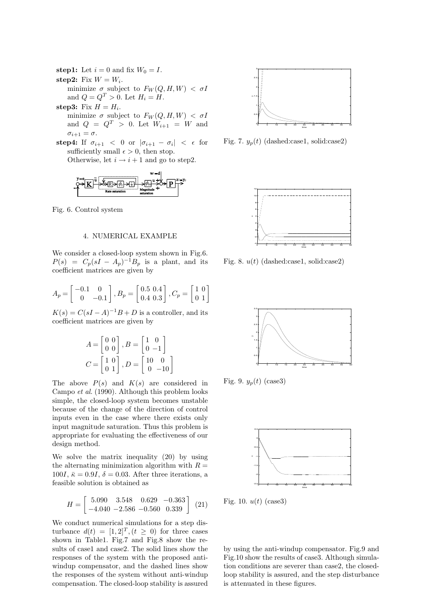**step1:** Let  $i = 0$  and fix  $W_0 = I$ . step2: Fix  $W = W_i$ . minimize  $\sigma$  subject to  $F_W(Q, H, W) < \sigma I$ and  $Q = Q^T > 0$ . Let  $H_i = H$ . **step3:** Fix  $H = H_i$ . minimize  $\sigma$  subject to  $F_W(Q, H, W) < \sigma I$ 

and  $Q = Q^T > 0$ . Let  $W_{i+1} = W$  and  $\sigma_{i+1} = \sigma.$ 

**step4:** If  $\sigma_{i+1} < 0$  or  $|\sigma_{i+1} - \sigma_i| < \epsilon$  for sufficiently small  $\epsilon > 0$ , then stop. Otherwise, let  $i \rightarrow i+1$  and go to step2.



Fig. 6. Control system

### 4. NUMERICAL EXAMPLE

We consider a closed-loop system shown in Fig.6.  $P(s) = C_p(sI - A_p)^{-1}B_p$  is a plant, and its coefficient matrices are given by

$$
A_p = \begin{bmatrix} -0.1 & 0 \\ 0 & -0.1 \end{bmatrix}, B_p = \begin{bmatrix} 0.5 & 0.4 \\ 0.4 & 0.3 \end{bmatrix}, C_p = \begin{bmatrix} 1 & 0 \\ 0 & 1 \end{bmatrix}
$$

 $K(s) = C(sI - A)^{-1}B + D$  is a controller, and its coefficient matrices are given by

$$
A = \begin{bmatrix} 0 & 0 \\ 0 & 0 \end{bmatrix}, B = \begin{bmatrix} 1 & 0 \\ 0 & -1 \end{bmatrix}
$$

$$
C = \begin{bmatrix} 1 & 0 \\ 0 & 1 \end{bmatrix}, D = \begin{bmatrix} 10 & 0 \\ 0 & -10 \end{bmatrix}
$$

The above  $P(s)$  and  $K(s)$  are considered in Campo *et al*. (1990). Although this problem looks simple, the closed-loop system becomes unstable because of the change of the direction of control inputs even in the case where there exists only input magnitude saturation. Thus this problem is appropriate for evaluating the effectiveness of our design method.

We solve the matrix inequality (20) by using the alternating minimization algorithm with  $R =$ 100I,  $\bar{\kappa} = 0.9I$ ,  $\delta = 0.03$ . After three iterations, a feasible solution is obtained as

$$
H = \begin{bmatrix} 5.090 & 3.548 & 0.629 & -0.363 \\ -4.040 & -2.586 & -0.560 & 0.339 \end{bmatrix} (21)
$$

We conduct numerical simulations for a step disturbance  $d(t) = [1, 2]^T$ ,  $(t \ge 0)$  for three cases shown in Table1. Fig.7 and Fig.8 show the results of case1 and case2. The solid lines show the responses of the system with the proposed antiwindup compensator, and the dashed lines show the responses of the system without anti-windup compensation. The closed-loop stability is assured



Fig. 7.  $y_p(t)$  (dashed:case1, solid:case2)



Fig. 8.  $u(t)$  (dashed:case1, solid:case2)



Fig. 9.  $y_p(t)$  (case3)



Fig. 10.  $u(t)$  (case3)

by using the anti-windup compensator. Fig.9 and Fig.10 show the results of case3. Although simulation conditions are severer than case2, the closedloop stability is assured, and the step disturbance is attenuated in these figures.